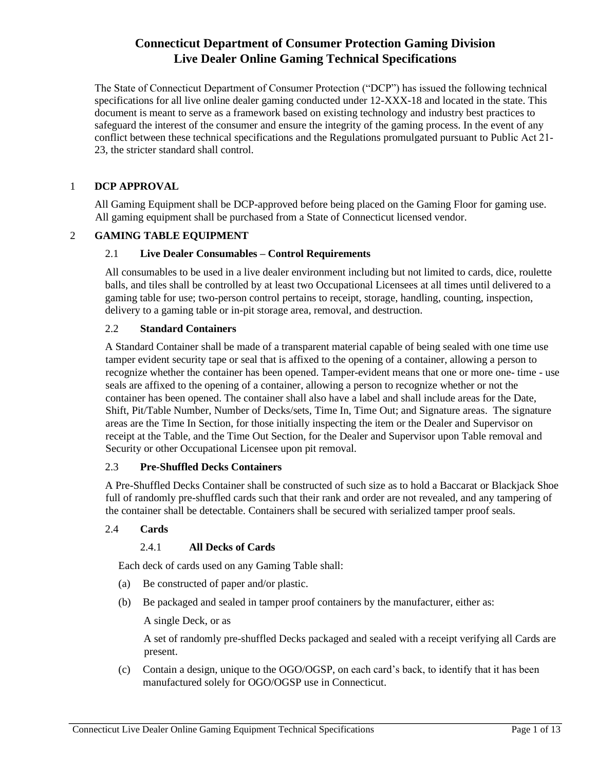The State of Connecticut Department of Consumer Protection ("DCP") has issued the following technical specifications for all live online dealer gaming conducted under 12-XXX-18 and located in the state. This document is meant to serve as a framework based on existing technology and industry best practices to safeguard the interest of the consumer and ensure the integrity of the gaming process. In the event of any conflict between these technical specifications and the Regulations promulgated pursuant to Public Act 21– 23, the stricter standard shall control.

### 1 **DCP APPROVAL**

All Gaming Equipment shall be DCP-approved before being placed on the Gaming Floor for gaming use. All gaming equipment shall be purchased from a State of Connecticut licensed vendor.

### 2 **GAMING TABLE EQUIPMENT**

### 2.1 **Live Dealer Consumables – Control Requirements**

All consumables to be used in a live dealer environment including but not limited to cards, dice, roulette balls, and tiles shall be controlled by at least two Occupational Licensees at all times until delivered to a gaming table for use; two-person control pertains to receipt, storage, handling, counting, inspection, delivery to a gaming table or in-pit storage area, removal, and destruction.

### 2.2 **Standard Containers**

A Standard Container shall be made of a transparent material capable of being sealed with one time use tamper evident security tape or seal that is affixed to the opening of a container, allowing a person to recognize whether the container has been opened. Tamper-evident means that one or more one- time - use seals are affixed to the opening of a container, allowing a person to recognize whether or not the container has been opened. The container shall also have a label and shall include areas for the Date, Shift, Pit/Table Number, Number of Decks/sets, Time In, Time Out; and Signature areas. The signature areas are the Time In Section, for those initially inspecting the item or the Dealer and Supervisor on receipt at the Table, and the Time Out Section, for the Dealer and Supervisor upon Table removal and Security or other Occupational Licensee upon pit removal.

### 2.3 **Pre-Shuffled Decks Containers**

A Pre-Shuffled Decks Container shall be constructed of such size as to hold a Baccarat or Blackjack Shoe full of randomly pre-shuffled cards such that their rank and order are not revealed, and any tampering of the container shall be detectable. Containers shall be secured with serialized tamper proof seals.

### 2.4 **Cards**

## 2.4.1 **All Decks of Cards**

Each deck of cards used on any Gaming Table shall:

- (a) Be constructed of paper and/or plastic.
- (b) Be packaged and sealed in tamper proof containers by the manufacturer, either as:

A single Deck, or as

A set of randomly pre-shuffled Decks packaged and sealed with a receipt verifying all Cards are present.

(c) Contain a design, unique to the OGO/OGSP, on each card's back, to identify that it has been manufactured solely for OGO/OGSP use in Connecticut.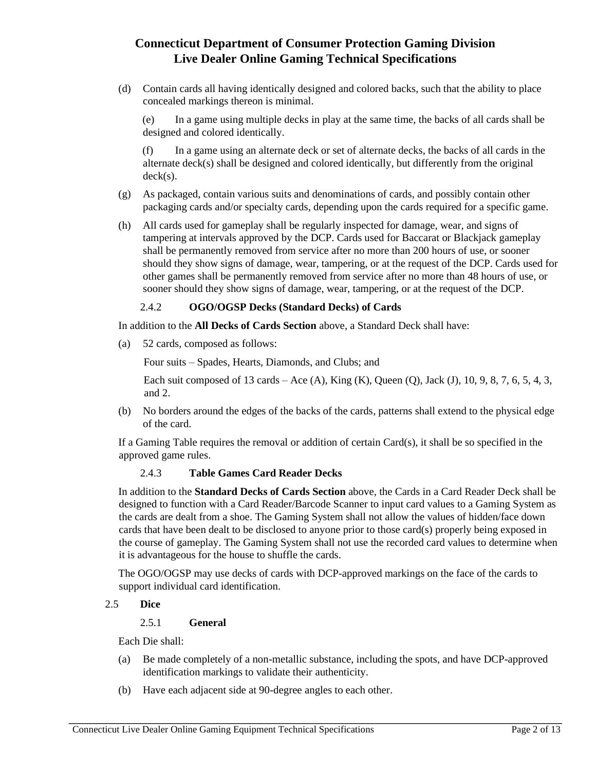(d) Contain cards all having identically designed and colored backs, such that the ability to place concealed markings thereon is minimal.

(e) In a game using multiple decks in play at the same time, the backs of all cards shall be designed and colored identically.

(f) In a game using an alternate deck or set of alternate decks, the backs of all cards in the alternate deck(s) shall be designed and colored identically, but differently from the original deck(s).

- (g) As packaged, contain various suits and denominations of cards, and possibly contain other packaging cards and/or specialty cards, depending upon the cards required for a specific game.
- (h) All cards used for gameplay shall be regularly inspected for damage, wear, and signs of tampering at intervals approved by the DCP. Cards used for Baccarat or Blackjack gameplay shall be permanently removed from service after no more than 200 hours of use, or sooner should they show signs of damage, wear, tampering, or at the request of the DCP. Cards used for other games shall be permanently removed from service after no more than 48 hours of use, or sooner should they show signs of damage, wear, tampering, or at the request of the DCP.

## 2.4.2 **OGO/OGSP Decks (Standard Decks) of Cards**

In addition to the **All Decks of Cards Section** above, a Standard Deck shall have:

(a) 52 cards, composed as follows:

Four suits – Spades, Hearts, Diamonds, and Clubs; and

Each suit composed of 13 cards – Ace (A), King (K), Queen (Q), Jack (J), 10, 9, 8, 7, 6, 5, 4, 3, and 2.

(b) No borders around the edges of the backs of the cards, patterns shall extend to the physical edge of the card.

If a Gaming Table requires the removal or addition of certain Card(s), it shall be so specified in the approved game rules.

## 2.4.3 **Table Games Card Reader Decks**

In addition to the **Standard Decks of Cards Section** above, the Cards in a Card Reader Deck shall be designed to function with a Card Reader/Barcode Scanner to input card values to a Gaming System as the cards are dealt from a shoe. The Gaming System shall not allow the values of hidden/face down cards that have been dealt to be disclosed to anyone prior to those card(s) properly being exposed in the course of gameplay. The Gaming System shall not use the recorded card values to determine when it is advantageous for the house to shuffle the cards.

The OGO/OGSP may use decks of cards with DCP-approved markings on the face of the cards to support individual card identification.

### 2.5 **Dice**

### 2.5.1 **General**

Each Die shall:

- (a) Be made completely of a non-metallic substance, including the spots, and have DCP-approved identification markings to validate their authenticity.
- (b) Have each adjacent side at 90-degree angles to each other.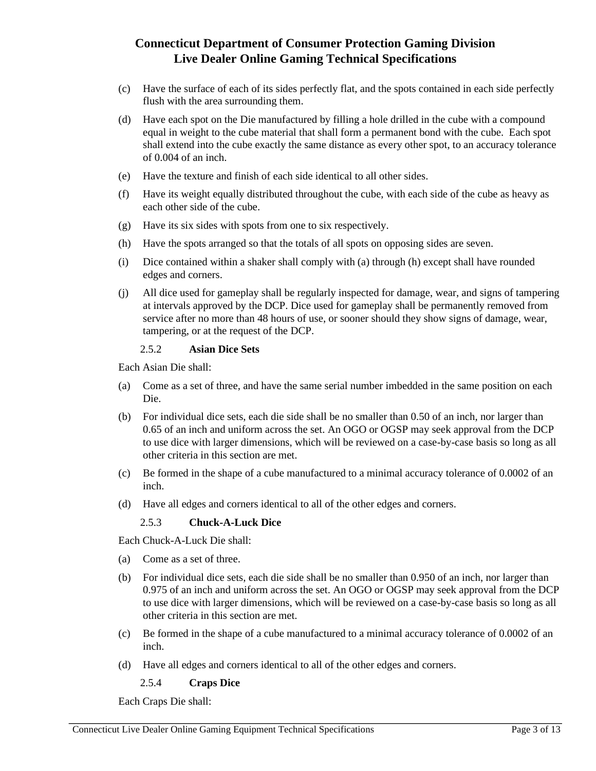- (c) Have the surface of each of its sides perfectly flat, and the spots contained in each side perfectly flush with the area surrounding them.
- (d) Have each spot on the Die manufactured by filling a hole drilled in the cube with a compound equal in weight to the cube material that shall form a permanent bond with the cube. Each spot shall extend into the cube exactly the same distance as every other spot, to an accuracy tolerance of 0.004 of an inch.
- (e) Have the texture and finish of each side identical to all other sides.
- (f) Have its weight equally distributed throughout the cube, with each side of the cube as heavy as each other side of the cube.
- (g) Have its six sides with spots from one to six respectively.
- (h) Have the spots arranged so that the totals of all spots on opposing sides are seven.
- (i) Dice contained within a shaker shall comply with (a) through (h) except shall have rounded edges and corners.
- (j) All dice used for gameplay shall be regularly inspected for damage, wear, and signs of tampering at intervals approved by the DCP. Dice used for gameplay shall be permanently removed from service after no more than 48 hours of use, or sooner should they show signs of damage, wear, tampering, or at the request of the DCP.

#### 2.5.2 **Asian Dice Sets**

Each Asian Die shall:

- (a) Come as a set of three, and have the same serial number imbedded in the same position on each Die.
- (b) For individual dice sets, each die side shall be no smaller than 0.50 of an inch, nor larger than 0.65 of an inch and uniform across the set. An OGO or OGSP may seek approval from the DCP to use dice with larger dimensions, which will be reviewed on a case-by-case basis so long as all other criteria in this section are met.
- (c) Be formed in the shape of a cube manufactured to a minimal accuracy tolerance of 0.0002 of an inch.
- (d) Have all edges and corners identical to all of the other edges and corners.

### 2.5.3 **Chuck-A-Luck Dice**

Each Chuck-A-Luck Die shall:

- (a) Come as a set of three.
- (b) For individual dice sets, each die side shall be no smaller than 0.950 of an inch, nor larger than 0.975 of an inch and uniform across the set. An OGO or OGSP may seek approval from the DCP to use dice with larger dimensions, which will be reviewed on a case-by-case basis so long as all other criteria in this section are met.
- (c) Be formed in the shape of a cube manufactured to a minimal accuracy tolerance of 0.0002 of an inch.
- (d) Have all edges and corners identical to all of the other edges and corners.

2.5.4 **Craps Dice** 

Each Craps Die shall: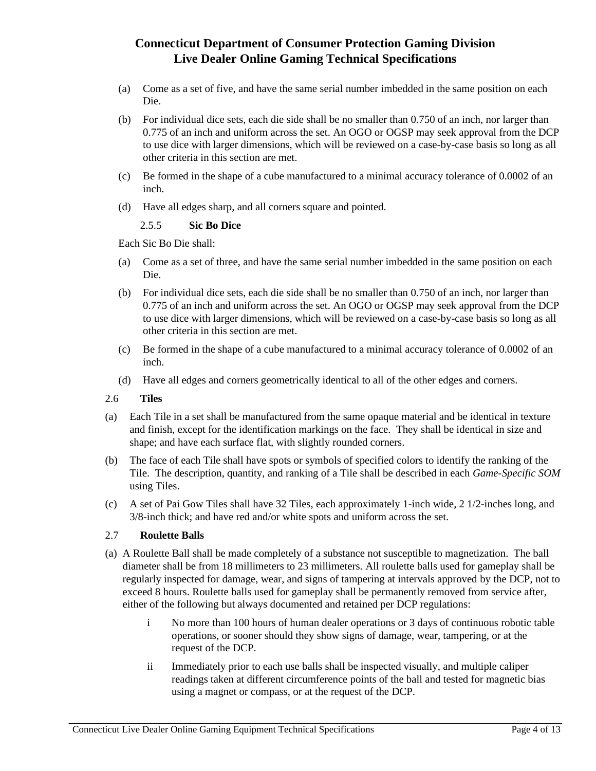- (a) Come as a set of five, and have the same serial number imbedded in the same position on each Die.
- (b) For individual dice sets, each die side shall be no smaller than 0.750 of an inch, nor larger than 0.775 of an inch and uniform across the set. An OGO or OGSP may seek approval from the DCP to use dice with larger dimensions, which will be reviewed on a case-by-case basis so long as all other criteria in this section are met.
- (c) Be formed in the shape of a cube manufactured to a minimal accuracy tolerance of 0.0002 of an inch.
- (d) Have all edges sharp, and all corners square and pointed.

### 2.5.5 **Sic Bo Dice**

Each Sic Bo Die shall:

- (a) Come as a set of three, and have the same serial number imbedded in the same position on each Die.
- (b) For individual dice sets, each die side shall be no smaller than 0.750 of an inch, nor larger than 0.775 of an inch and uniform across the set. An OGO or OGSP may seek approval from the DCP to use dice with larger dimensions, which will be reviewed on a case-by-case basis so long as all other criteria in this section are met.
- (c) Be formed in the shape of a cube manufactured to a minimal accuracy tolerance of 0.0002 of an inch.
- (d) Have all edges and corners geometrically identical to all of the other edges and corners.
- 2.6 **Tiles**
- (a) Each Tile in a set shall be manufactured from the same opaque material and be identical in texture and finish, except for the identification markings on the face. They shall be identical in size and shape; and have each surface flat, with slightly rounded corners.
- (b) The face of each Tile shall have spots or symbols of specified colors to identify the ranking of the Tile. The description, quantity, and ranking of a Tile shall be described in each *Game-Specific SOM* using Tiles.
- (c) A set of Pai Gow Tiles shall have 32 Tiles, each approximately 1-inch wide, 2 1/2-inches long, and 3/8-inch thick; and have red and/or white spots and uniform across the set.

## 2.7 **Roulette Balls**

- (a) A Roulette Ball shall be made completely of a substance not susceptible to magnetization. The ball diameter shall be from 18 millimeters to 23 millimeters. All roulette balls used for gameplay shall be regularly inspected for damage, wear, and signs of tampering at intervals approved by the DCP, not to exceed 8 hours. Roulette balls used for gameplay shall be permanently removed from service after, either of the following but always documented and retained per DCP regulations:
	- i No more than 100 hours of human dealer operations or 3 days of continuous robotic table operations, or sooner should they show signs of damage, wear, tampering, or at the request of the DCP.
	- ii Immediately prior to each use balls shall be inspected visually, and multiple caliper readings taken at different circumference points of the ball and tested for magnetic bias using a magnet or compass, or at the request of the DCP.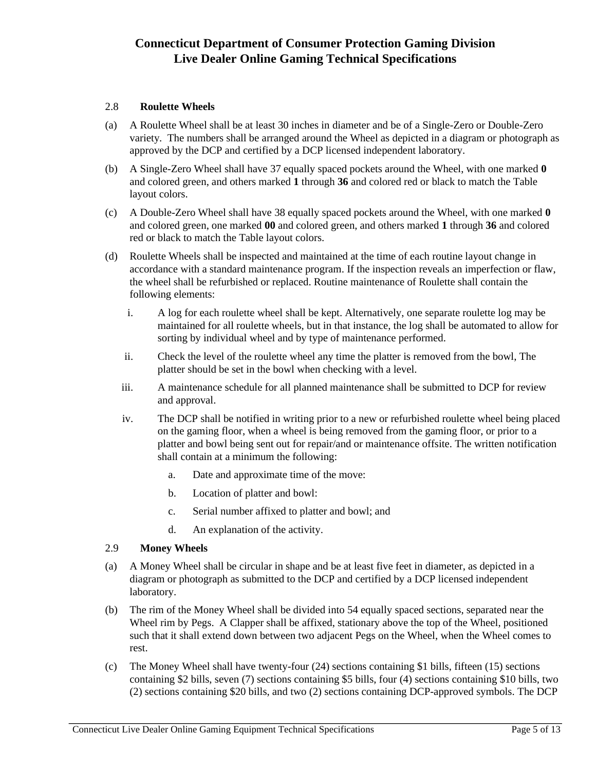### 2.8 **Roulette Wheels**

- (a) A Roulette Wheel shall be at least 30 inches in diameter and be of a Single-Zero or Double-Zero variety. The numbers shall be arranged around the Wheel as depicted in a diagram or photograph as approved by the DCP and certified by a DCP licensed independent laboratory.
- (b) A Single-Zero Wheel shall have 37 equally spaced pockets around the Wheel, with one marked **0** and colored green, and others marked **1** through **36** and colored red or black to match the Table layout colors.
- (c) A Double-Zero Wheel shall have 38 equally spaced pockets around the Wheel, with one marked **0** and colored green, one marked **00** and colored green, and others marked **1** through **36** and colored red or black to match the Table layout colors.
- (d) Roulette Wheels shall be inspected and maintained at the time of each routine layout change in accordance with a standard maintenance program. If the inspection reveals an imperfection or flaw, the wheel shall be refurbished or replaced. Routine maintenance of Roulette shall contain the following elements:
	- i. A log for each roulette wheel shall be kept. Alternatively, one separate roulette log may be maintained for all roulette wheels, but in that instance, the log shall be automated to allow for sorting by individual wheel and by type of maintenance performed.
	- ii. Check the level of the roulette wheel any time the platter is removed from the bowl, The platter should be set in the bowl when checking with a level.
	- iii. A maintenance schedule for all planned maintenance shall be submitted to DCP for review and approval.
	- iv. The DCP shall be notified in writing prior to a new or refurbished roulette wheel being placed on the gaming floor, when a wheel is being removed from the gaming floor, or prior to a platter and bowl being sent out for repair/and or maintenance offsite. The written notification shall contain at a minimum the following:
		- a. Date and approximate time of the move:
		- b. Location of platter and bowl:
		- c. Serial number affixed to platter and bowl; and
		- d. An explanation of the activity.

### 2.9 **Money Wheels**

- (a) A Money Wheel shall be circular in shape and be at least five feet in diameter, as depicted in a diagram or photograph as submitted to the DCP and certified by a DCP licensed independent laboratory.
- (b) The rim of the Money Wheel shall be divided into 54 equally spaced sections, separated near the Wheel rim by Pegs. A Clapper shall be affixed, stationary above the top of the Wheel, positioned such that it shall extend down between two adjacent Pegs on the Wheel, when the Wheel comes to rest.
- (c) The Money Wheel shall have twenty-four (24) sections containing \$1 bills, fifteen (15) sections containing \$2 bills, seven (7) sections containing \$5 bills, four (4) sections containing \$10 bills, two (2) sections containing \$20 bills, and two (2) sections containing DCP-approved symbols. The DCP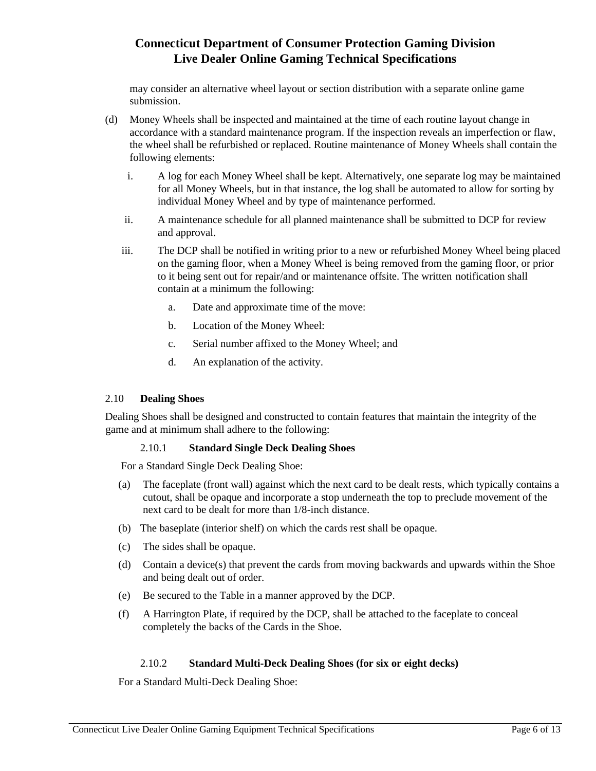may consider an alternative wheel layout or section distribution with a separate online game submission.

- (d) Money Wheels shall be inspected and maintained at the time of each routine layout change in accordance with a standard maintenance program. If the inspection reveals an imperfection or flaw, the wheel shall be refurbished or replaced. Routine maintenance of Money Wheels shall contain the following elements:
	- i. A log for each Money Wheel shall be kept. Alternatively, one separate log may be maintained for all Money Wheels, but in that instance, the log shall be automated to allow for sorting by individual Money Wheel and by type of maintenance performed.
	- ii. A maintenance schedule for all planned maintenance shall be submitted to DCP for review and approval.
	- iii. The DCP shall be notified in writing prior to a new or refurbished Money Wheel being placed on the gaming floor, when a Money Wheel is being removed from the gaming floor, or prior to it being sent out for repair/and or maintenance offsite. The written notification shall contain at a minimum the following:
		- a. Date and approximate time of the move:
		- b. Location of the Money Wheel:
		- c. Serial number affixed to the Money Wheel; and
		- d. An explanation of the activity.

### 2.10 **Dealing Shoes**

Dealing Shoes shall be designed and constructed to contain features that maintain the integrity of the game and at minimum shall adhere to the following:

### 2.10.1 **Standard Single Deck Dealing Shoes**

For a Standard Single Deck Dealing Shoe:

- (a) The faceplate (front wall) against which the next card to be dealt rests, which typically contains a cutout, shall be opaque and incorporate a stop underneath the top to preclude movement of the next card to be dealt for more than 1/8-inch distance.
- (b) The baseplate (interior shelf) on which the cards rest shall be opaque.
- (c) The sides shall be opaque.
- (d) Contain a device(s) that prevent the cards from moving backwards and upwards within the Shoe and being dealt out of order.
- (e) Be secured to the Table in a manner approved by the DCP.
- (f) A Harrington Plate, if required by the DCP, shall be attached to the faceplate to conceal completely the backs of the Cards in the Shoe.

## 2.10.2 **Standard Multi-Deck Dealing Shoes (for six or eight decks)**

For a Standard Multi-Deck Dealing Shoe: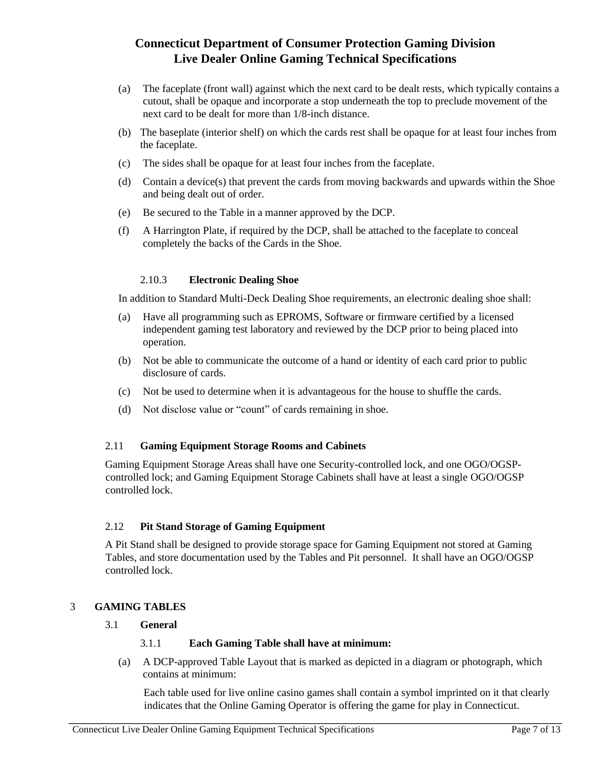- (a) The faceplate (front wall) against which the next card to be dealt rests, which typically contains a cutout, shall be opaque and incorporate a stop underneath the top to preclude movement of the next card to be dealt for more than 1/8-inch distance.
- (b) The baseplate (interior shelf) on which the cards rest shall be opaque for at least four inches from the faceplate.
- (c) The sides shall be opaque for at least four inches from the faceplate.
- (d) Contain a device(s) that prevent the cards from moving backwards and upwards within the Shoe and being dealt out of order.
- (e) Be secured to the Table in a manner approved by the DCP.
- (f) A Harrington Plate, if required by the DCP, shall be attached to the faceplate to conceal completely the backs of the Cards in the Shoe.

### 2.10.3 **Electronic Dealing Shoe**

In addition to Standard Multi-Deck Dealing Shoe requirements, an electronic dealing shoe shall:

- (a) Have all programming such as EPROMS, Software or firmware certified by a licensed independent gaming test laboratory and reviewed by the DCP prior to being placed into operation.
- (b) Not be able to communicate the outcome of a hand or identity of each card prior to public disclosure of cards.
- (c) Not be used to determine when it is advantageous for the house to shuffle the cards.
- (d) Not disclose value or "count" of cards remaining in shoe.

### 2.11 **Gaming Equipment Storage Rooms and Cabinets**

Gaming Equipment Storage Areas shall have one Security-controlled lock, and one OGO/OGSPcontrolled lock; and Gaming Equipment Storage Cabinets shall have at least a single OGO/OGSP controlled lock.

### 2.12 **Pit Stand Storage of Gaming Equipment**

A Pit Stand shall be designed to provide storage space for Gaming Equipment not stored at Gaming Tables, and store documentation used by the Tables and Pit personnel. It shall have an OGO/OGSP controlled lock.

## 3 **GAMING TABLES**

### 3.1 **General**

### 3.1.1 **Each Gaming Table shall have at minimum:**

(a) A DCP-approved Table Layout that is marked as depicted in a diagram or photograph, which contains at minimum:

Each table used for live online casino games shall contain a symbol imprinted on it that clearly indicates that the Online Gaming Operator is offering the game for play in Connecticut.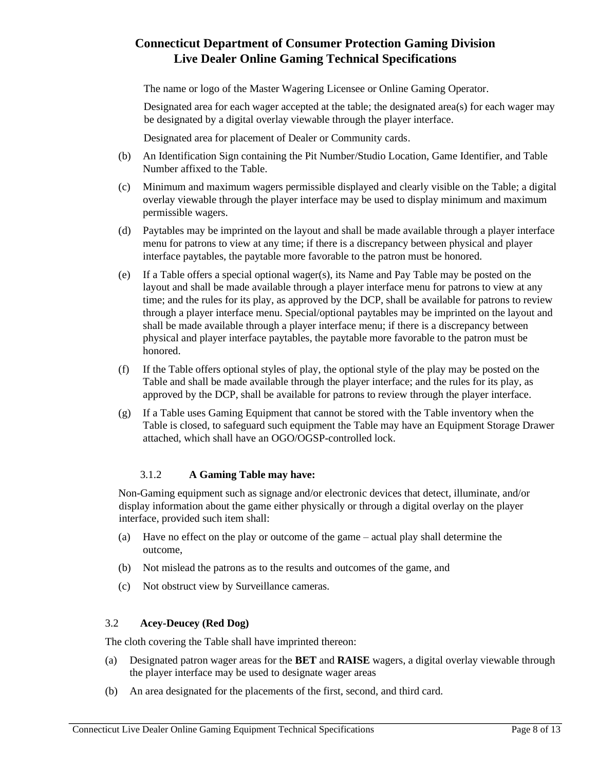The name or logo of the Master Wagering Licensee or Online Gaming Operator.

Designated area for each wager accepted at the table; the designated area(s) for each wager may be designated by a digital overlay viewable through the player interface.

Designated area for placement of Dealer or Community cards.

- (b) An Identification Sign containing the Pit Number/Studio Location, Game Identifier, and Table Number affixed to the Table.
- (c) Minimum and maximum wagers permissible displayed and clearly visible on the Table; a digital overlay viewable through the player interface may be used to display minimum and maximum permissible wagers.
- (d) Paytables may be imprinted on the layout and shall be made available through a player interface menu for patrons to view at any time; if there is a discrepancy between physical and player interface paytables, the paytable more favorable to the patron must be honored.
- (e) If a Table offers a special optional wager(s), its Name and Pay Table may be posted on the layout and shall be made available through a player interface menu for patrons to view at any time; and the rules for its play, as approved by the DCP, shall be available for patrons to review through a player interface menu. Special/optional paytables may be imprinted on the layout and shall be made available through a player interface menu; if there is a discrepancy between physical and player interface paytables, the paytable more favorable to the patron must be honored.
- (f) If the Table offers optional styles of play, the optional style of the play may be posted on the Table and shall be made available through the player interface; and the rules for its play, as approved by the DCP, shall be available for patrons to review through the player interface.
- (g) If a Table uses Gaming Equipment that cannot be stored with the Table inventory when the Table is closed, to safeguard such equipment the Table may have an Equipment Storage Drawer attached, which shall have an OGO/OGSP-controlled lock.

## 3.1.2 **A Gaming Table may have:**

Non-Gaming equipment such as signage and/or electronic devices that detect, illuminate, and/or display information about the game either physically or through a digital overlay on the player interface, provided such item shall:

- (a) Have no effect on the play or outcome of the game actual play shall determine the outcome,
- (b) Not mislead the patrons as to the results and outcomes of the game, and
- (c) Not obstruct view by Surveillance cameras.

## 3.2 **Acey-Deucey (Red Dog)**

The cloth covering the Table shall have imprinted thereon:

- (a) Designated patron wager areas for the **BET** and **RAISE** wagers, a digital overlay viewable through the player interface may be used to designate wager areas
- (b) An area designated for the placements of the first, second, and third card.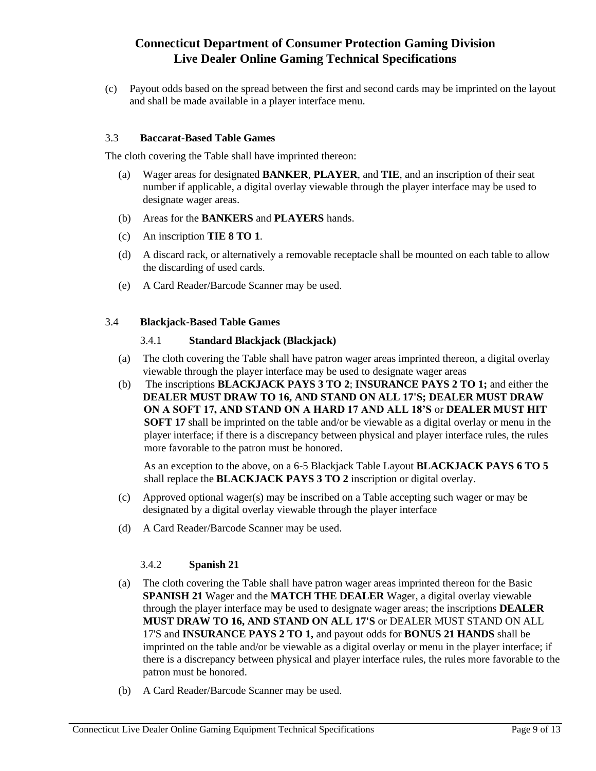(c) Payout odds based on the spread between the first and second cards may be imprinted on the layout and shall be made available in a player interface menu.

#### 3.3 **Baccarat-Based Table Games**

The cloth covering the Table shall have imprinted thereon:

- (a) Wager areas for designated **BANKER**, **PLAYER**, and **TIE**, and an inscription of their seat number if applicable, a digital overlay viewable through the player interface may be used to designate wager areas.
- (b) Areas for the **BANKERS** and **PLAYERS** hands.
- (c) An inscription **TIE 8 TO 1**.
- (d) A discard rack, or alternatively a removable receptacle shall be mounted on each table to allow the discarding of used cards.
- (e) A Card Reader/Barcode Scanner may be used.

#### 3.4 **Blackjack-Based Table Games**

### 3.4.1 **Standard Blackjack (Blackjack)**

- (a) The cloth covering the Table shall have patron wager areas imprinted thereon, a digital overlay viewable through the player interface may be used to designate wager areas
- (b) The inscriptions **BLACKJACK PAYS 3 TO 2**; **INSURANCE PAYS 2 TO 1;** and either the **DEALER MUST DRAW TO 16, AND STAND ON ALL 17'S; DEALER MUST DRAW ON A SOFT 17, AND STAND ON A HARD 17 AND ALL 18'S** or **DEALER MUST HIT SOFT 17** shall be imprinted on the table and/or be viewable as a digital overlay or menu in the player interface; if there is a discrepancy between physical and player interface rules, the rules more favorable to the patron must be honored.

As an exception to the above, on a 6-5 Blackjack Table Layout **BLACKJACK PAYS 6 TO 5** shall replace the **BLACKJACK PAYS 3 TO 2** inscription or digital overlay.

- (c) Approved optional wager(s) may be inscribed on a Table accepting such wager or may be designated by a digital overlay viewable through the player interface
- (d) A Card Reader/Barcode Scanner may be used.

### 3.4.2 **Spanish 21**

- (a) The cloth covering the Table shall have patron wager areas imprinted thereon for the Basic **SPANISH 21** Wager and the **MATCH THE DEALER** Wager, a digital overlay viewable through the player interface may be used to designate wager areas; the inscriptions **DEALER MUST DRAW TO 16, AND STAND ON ALL 17'S** or DEALER MUST STAND ON ALL 17'S and **INSURANCE PAYS 2 TO 1,** and payout odds for **BONUS 21 HANDS** shall be imprinted on the table and/or be viewable as a digital overlay or menu in the player interface; if there is a discrepancy between physical and player interface rules, the rules more favorable to the patron must be honored.
- (b) A Card Reader/Barcode Scanner may be used.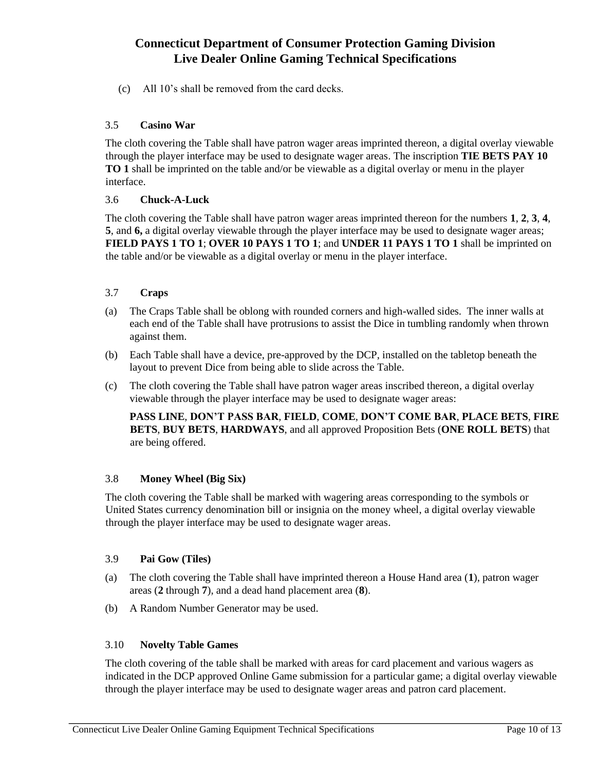(c) All 10's shall be removed from the card decks.

### 3.5 **Casino War**

The cloth covering the Table shall have patron wager areas imprinted thereon, a digital overlay viewable through the player interface may be used to designate wager areas. The inscription **TIE BETS PAY 10 TO 1** shall be imprinted on the table and/or be viewable as a digital overlay or menu in the player interface.

### 3.6 **Chuck-A-Luck**

The cloth covering the Table shall have patron wager areas imprinted thereon for the numbers **1**, **2**, **3**, **4**, **5**, and **6,** a digital overlay viewable through the player interface may be used to designate wager areas; **FIELD PAYS 1 TO 1**; **OVER 10 PAYS 1 TO 1**; and **UNDER 11 PAYS 1 TO 1** shall be imprinted on the table and/or be viewable as a digital overlay or menu in the player interface.

### 3.7 **Craps**

- (a) The Craps Table shall be oblong with rounded corners and high-walled sides. The inner walls at each end of the Table shall have protrusions to assist the Dice in tumbling randomly when thrown against them.
- (b) Each Table shall have a device, pre-approved by the DCP, installed on the tabletop beneath the layout to prevent Dice from being able to slide across the Table.
- (c) The cloth covering the Table shall have patron wager areas inscribed thereon, a digital overlay viewable through the player interface may be used to designate wager areas:

**PASS LINE**, **DON'T PASS BAR**, **FIELD**, **COME**, **DON'T COME BAR**, **PLACE BETS**, **FIRE BETS**, **BUY BETS**, **HARDWAYS**, and all approved Proposition Bets (**ONE ROLL BETS**) that are being offered.

### 3.8 **Money Wheel (Big Six)**

The cloth covering the Table shall be marked with wagering areas corresponding to the symbols or United States currency denomination bill or insignia on the money wheel, a digital overlay viewable through the player interface may be used to designate wager areas.

### 3.9 **Pai Gow (Tiles)**

- (a) The cloth covering the Table shall have imprinted thereon a House Hand area (**1**), patron wager areas (**2** through **7**), and a dead hand placement area (**8**).
- (b) A Random Number Generator may be used.

### 3.10 **Novelty Table Games**

The cloth covering of the table shall be marked with areas for card placement and various wagers as indicated in the DCP approved Online Game submission for a particular game; a digital overlay viewable through the player interface may be used to designate wager areas and patron card placement.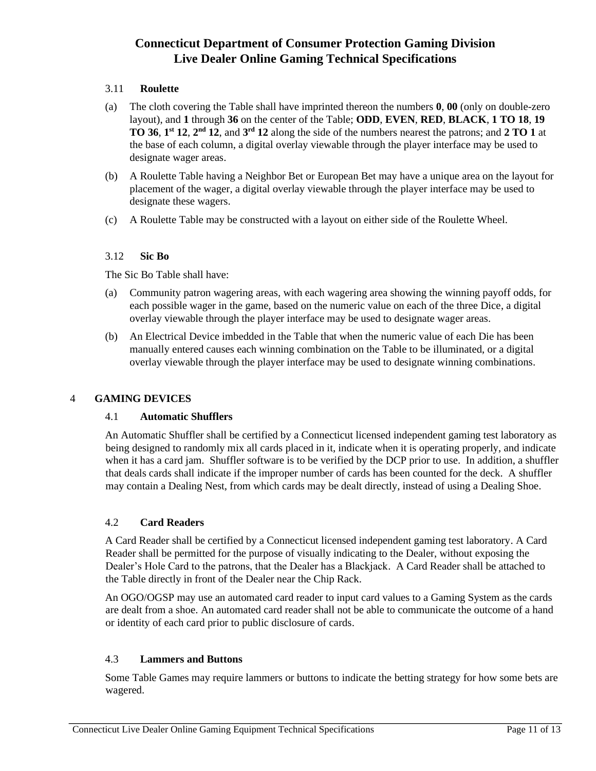## 3.11 **Roulette**

- (a) The cloth covering the Table shall have imprinted thereon the numbers **0**, **00** (only on double-zero layout), and **1** through **36** on the center of the Table; **ODD**, **EVEN**, **RED**, **BLACK**, **1 TO 18**, **19 TO 36**, **1**<sup>st</sup> **12**, **2**<sup>nd</sup> **12**, and **3**<sup>rd</sup> **12** along the side of the numbers nearest the patrons; and **2 TO 1** at the base of each column, a digital overlay viewable through the player interface may be used to designate wager areas.
- (b) A Roulette Table having a Neighbor Bet or European Bet may have a unique area on the layout for placement of the wager, a digital overlay viewable through the player interface may be used to designate these wagers.
- (c) A Roulette Table may be constructed with a layout on either side of the Roulette Wheel.

### 3.12 **Sic Bo**

The Sic Bo Table shall have:

- (a) Community patron wagering areas, with each wagering area showing the winning payoff odds, for each possible wager in the game, based on the numeric value on each of the three Dice, a digital overlay viewable through the player interface may be used to designate wager areas.
- (b) An Electrical Device imbedded in the Table that when the numeric value of each Die has been manually entered causes each winning combination on the Table to be illuminated, or a digital overlay viewable through the player interface may be used to designate winning combinations.

## 4 **GAMING DEVICES**

### 4.1 **Automatic Shufflers**

An Automatic Shuffler shall be certified by a Connecticut licensed independent gaming test laboratory as being designed to randomly mix all cards placed in it, indicate when it is operating properly, and indicate when it has a card jam. Shuffler software is to be verified by the DCP prior to use. In addition, a shuffler that deals cards shall indicate if the improper number of cards has been counted for the deck. A shuffler may contain a Dealing Nest, from which cards may be dealt directly, instead of using a Dealing Shoe.

## 4.2 **Card Readers**

A Card Reader shall be certified by a Connecticut licensed independent gaming test laboratory. A Card Reader shall be permitted for the purpose of visually indicating to the Dealer, without exposing the Dealer's Hole Card to the patrons, that the Dealer has a Blackjack. A Card Reader shall be attached to the Table directly in front of the Dealer near the Chip Rack.

An OGO/OGSP may use an automated card reader to input card values to a Gaming System as the cards are dealt from a shoe. An automated card reader shall not be able to communicate the outcome of a hand or identity of each card prior to public disclosure of cards.

### 4.3 **Lammers and Buttons**

Some Table Games may require lammers or buttons to indicate the betting strategy for how some bets are wagered.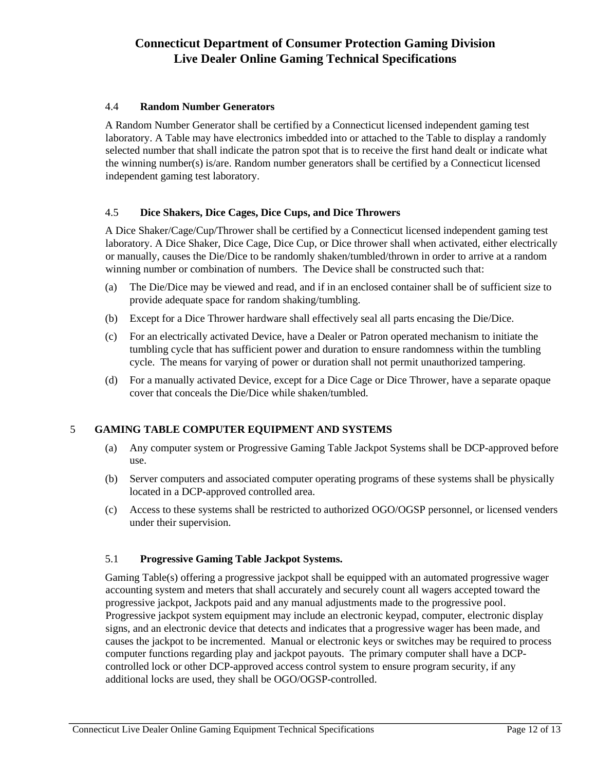### 4.4 **Random Number Generators**

A Random Number Generator shall be certified by a Connecticut licensed independent gaming test laboratory. A Table may have electronics imbedded into or attached to the Table to display a randomly selected number that shall indicate the patron spot that is to receive the first hand dealt or indicate what the winning number(s) is/are. Random number generators shall be certified by a Connecticut licensed independent gaming test laboratory.

### 4.5 **Dice Shakers, Dice Cages, Dice Cups, and Dice Throwers**

A Dice Shaker/Cage/Cup/Thrower shall be certified by a Connecticut licensed independent gaming test laboratory. A Dice Shaker, Dice Cage, Dice Cup, or Dice thrower shall when activated, either electrically or manually, causes the Die/Dice to be randomly shaken/tumbled/thrown in order to arrive at a random winning number or combination of numbers. The Device shall be constructed such that:

- (a) The Die/Dice may be viewed and read, and if in an enclosed container shall be of sufficient size to provide adequate space for random shaking/tumbling.
- (b) Except for a Dice Thrower hardware shall effectively seal all parts encasing the Die/Dice.
- (c) For an electrically activated Device, have a Dealer or Patron operated mechanism to initiate the tumbling cycle that has sufficient power and duration to ensure randomness within the tumbling cycle. The means for varying of power or duration shall not permit unauthorized tampering.
- (d) For a manually activated Device, except for a Dice Cage or Dice Thrower, have a separate opaque cover that conceals the Die/Dice while shaken/tumbled.

## 5 **GAMING TABLE COMPUTER EQUIPMENT AND SYSTEMS**

- (a) Any computer system or Progressive Gaming Table Jackpot Systems shall be DCP-approved before use.
- (b) Server computers and associated computer operating programs of these systems shall be physically located in a DCP-approved controlled area.
- (c) Access to these systems shall be restricted to authorized OGO/OGSP personnel, or licensed venders under their supervision.

## 5.1 **Progressive Gaming Table Jackpot Systems.**

Gaming Table(s) offering a progressive jackpot shall be equipped with an automated progressive wager accounting system and meters that shall accurately and securely count all wagers accepted toward the progressive jackpot, Jackpots paid and any manual adjustments made to the progressive pool. Progressive jackpot system equipment may include an electronic keypad, computer, electronic display signs, and an electronic device that detects and indicates that a progressive wager has been made, and causes the jackpot to be incremented. Manual or electronic keys or switches may be required to process computer functions regarding play and jackpot payouts. The primary computer shall have a DCPcontrolled lock or other DCP-approved access control system to ensure program security, if any additional locks are used, they shall be OGO/OGSP-controlled.